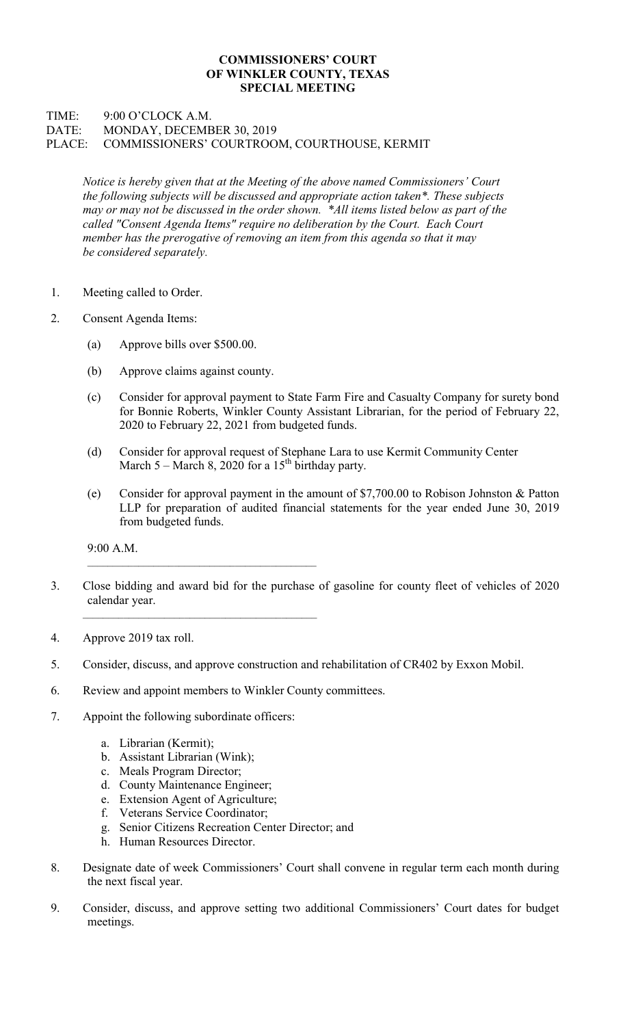## COMMISSIONERS' COURT OF WINKLER COUNTY, TEXAS SPECIAL MEETING

## TIME: 9:00 O'CLOCK A.M. DATE: MONDAY, DECEMBER 30, 2019 PLACE: COMMISSIONERS' COURTROOM, COURTHOUSE, KERMIT

Notice is hereby given that at the Meeting of the above named Commissioners' Court the following subjects will be discussed and appropriate action taken\*. These subjects may or may not be discussed in the order shown. \*All items listed below as part of the called "Consent Agenda Items" require no deliberation by the Court. Each Court member has the prerogative of removing an item from this agenda so that it may be considered separately.

- 1. Meeting called to Order.
- 2. Consent Agenda Items:
	- (a) Approve bills over \$500.00.
	- (b) Approve claims against county.
	- (c) Consider for approval payment to State Farm Fire and Casualty Company for surety bond for Bonnie Roberts, Winkler County Assistant Librarian, for the period of February 22, 2020 to February 22, 2021 from budgeted funds.
	- (d) Consider for approval request of Stephane Lara to use Kermit Community Center March 5 – March 8, 2020 for a  $15<sup>th</sup>$  birthday party.
	- (e) Consider for approval payment in the amount of \$7,700.00 to Robison Johnston & Patton LLP for preparation of audited financial statements for the year ended June 30, 2019 from budgeted funds.

9:00 A.M.

- 3. Close bidding and award bid for the purchase of gasoline for county fleet of vehicles of 2020 calendar year.
- 4. Approve 2019 tax roll.
- 5. Consider, discuss, and approve construction and rehabilitation of CR402 by Exxon Mobil.
- 6. Review and appoint members to Winkler County committees.

 $\mathcal{L}_\text{max}$  and the contract of the contract of the contract of the contract of the contract of the contract of the contract of the contract of the contract of the contract of the contract of the contract of the contrac

 $\mathcal{L}_\text{max}$  and the contract of the contract of the contract of the contract of the contract of the contract of the contract of the contract of the contract of the contract of the contract of the contract of the contrac

- 7. Appoint the following subordinate officers:
	- a. Librarian (Kermit);
	- b. Assistant Librarian (Wink);
	- c. Meals Program Director;
	- d. County Maintenance Engineer;
	- e. Extension Agent of Agriculture;
	- f. Veterans Service Coordinator;
	- g. Senior Citizens Recreation Center Director; and
	- h. Human Resources Director.
- 8. Designate date of week Commissioners' Court shall convene in regular term each month during the next fiscal year.
- 9. Consider, discuss, and approve setting two additional Commissioners' Court dates for budget meetings.